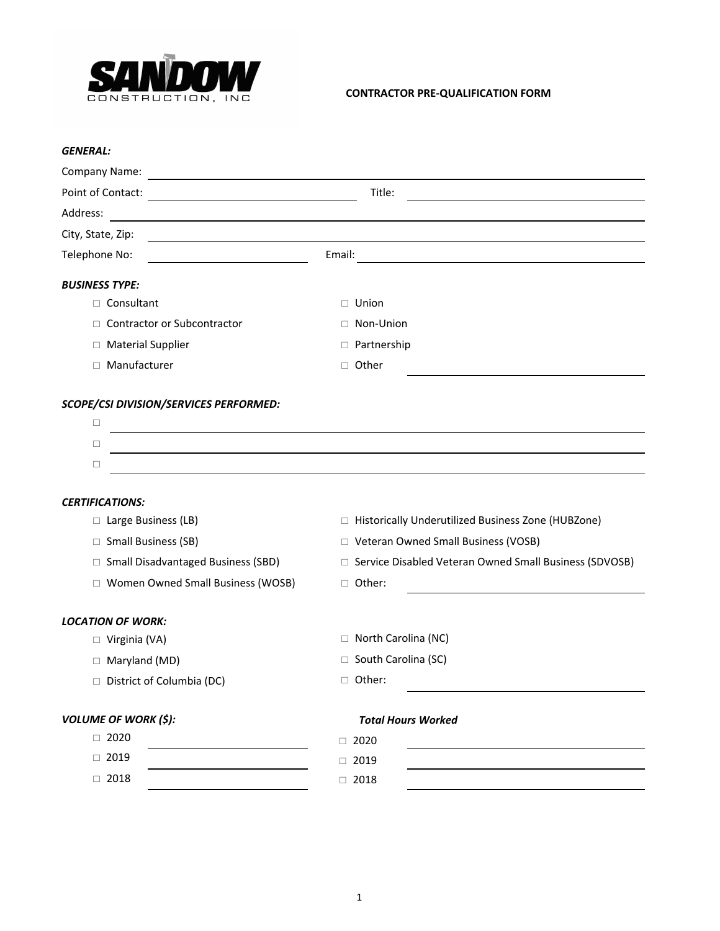

# **CONTRACTOR PRE-QUALIFICATION FORM**

| Title:<br>Email:                                         |  |  |
|----------------------------------------------------------|--|--|
|                                                          |  |  |
|                                                          |  |  |
|                                                          |  |  |
|                                                          |  |  |
|                                                          |  |  |
|                                                          |  |  |
| $\Box$ Union                                             |  |  |
| □ Non-Union                                              |  |  |
| □ Partnership                                            |  |  |
| □ Other                                                  |  |  |
|                                                          |  |  |
|                                                          |  |  |
|                                                          |  |  |
|                                                          |  |  |
|                                                          |  |  |
|                                                          |  |  |
| □ Historically Underutilized Business Zone (HUBZone)     |  |  |
| □ Veteran Owned Small Business (VOSB)                    |  |  |
| □ Service Disabled Veteran Owned Small Business (SDVOSB) |  |  |
| □ Other:                                                 |  |  |
|                                                          |  |  |
| □ North Carolina (NC)                                    |  |  |
| □ South Carolina (SC)                                    |  |  |
| □ Other:                                                 |  |  |
| <b>Total Hours Worked</b>                                |  |  |
| $\Box$ 2020                                              |  |  |
| $\Box$ 2019                                              |  |  |
| $\Box$ 2018                                              |  |  |
|                                                          |  |  |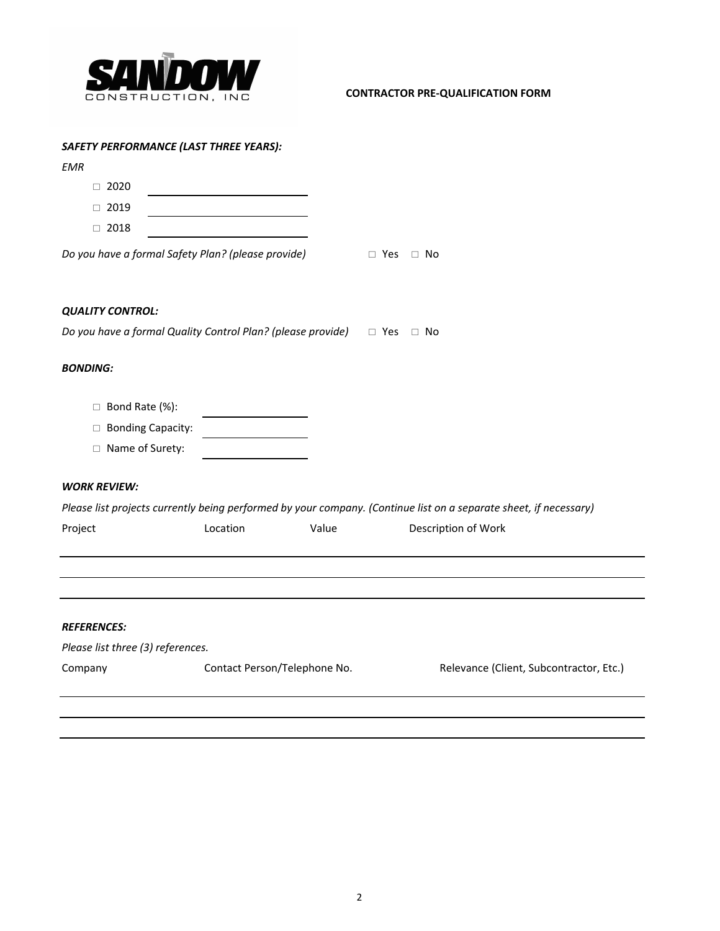

# **CONTRACTOR PRE-QUALIFICATION FORM**

## *SAFETY PERFORMANCE (LAST THREE YEARS):*

| <b>EMR</b>                        |                                                                                  |       |                      |                                                                                                                   |
|-----------------------------------|----------------------------------------------------------------------------------|-------|----------------------|-------------------------------------------------------------------------------------------------------------------|
| $\Box$ 2020                       |                                                                                  |       |                      |                                                                                                                   |
| $\Box$ 2019                       |                                                                                  |       |                      |                                                                                                                   |
| $\Box$ 2018                       |                                                                                  |       |                      |                                                                                                                   |
|                                   | Do you have a formal Safety Plan? (please provide)                               |       | $\Box$ Yes $\Box$ No |                                                                                                                   |
| <b>QUALITY CONTROL:</b>           |                                                                                  |       |                      |                                                                                                                   |
|                                   | Do you have a formal Quality Control Plan? (please provide) $\Box$ Yes $\Box$ No |       |                      |                                                                                                                   |
| <b>BONDING:</b>                   |                                                                                  |       |                      |                                                                                                                   |
| □ Bond Rate (%):                  |                                                                                  |       |                      |                                                                                                                   |
| □ Bonding Capacity:               |                                                                                  |       |                      |                                                                                                                   |
| □ Name of Surety:                 |                                                                                  |       |                      |                                                                                                                   |
| <b>WORK REVIEW:</b>               |                                                                                  |       |                      |                                                                                                                   |
|                                   |                                                                                  |       |                      | Please list projects currently being performed by your company. (Continue list on a separate sheet, if necessary) |
| Project                           | Location                                                                         | Value |                      | Description of Work                                                                                               |
|                                   |                                                                                  |       |                      |                                                                                                                   |
| <b>REFERENCES:</b>                |                                                                                  |       |                      |                                                                                                                   |
|                                   |                                                                                  |       |                      |                                                                                                                   |
| Please list three (3) references. |                                                                                  |       |                      |                                                                                                                   |